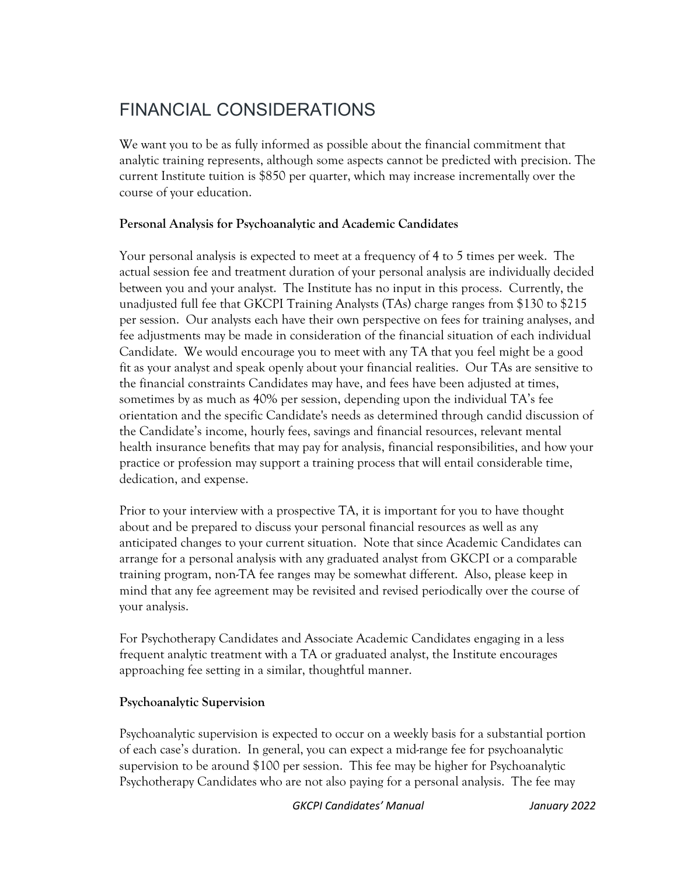## FINANCIAL CONSIDERATIONS

We want you to be as fully informed as possible about the financial commitment that analytic training represents, although some aspects cannot be predicted with precision. The current Institute tuition is \$850 per quarter, which may increase incrementally over the course of your education.

## **Personal Analysis for Psychoanalytic and Academic Candidates**

Your personal analysis is expected to meet at a frequency of 4 to 5 times per week. The actual session fee and treatment duration of your personal analysis are individually decided between you and your analyst. The Institute has no input in this process. Currently, the unadjusted full fee that GKCPI Training Analysts (TAs) charge ranges from \$130 to \$215 per session. Our analysts each have their own perspective on fees for training analyses, and fee adjustments may be made in consideration of the financial situation of each individual Candidate. We would encourage you to meet with any TA that you feel might be a good fit as your analyst and speak openly about your financial realities. Our TAs are sensitive to the financial constraints Candidates may have, and fees have been adjusted at times, sometimes by as much as 40% per session, depending upon the individual TA's fee orientation and the specific Candidate's needs as determined through candid discussion of the Candidate's income, hourly fees, savings and financial resources, relevant mental health insurance benefits that may pay for analysis, financial responsibilities, and how your practice or profession may support a training process that will entail considerable time, dedication, and expense.

Prior to your interview with a prospective TA, it is important for you to have thought about and be prepared to discuss your personal financial resources as well as any anticipated changes to your current situation. Note that since Academic Candidates can arrange for a personal analysis with any graduated analyst from GKCPI or a comparable training program, non-TA fee ranges may be somewhat different. Also, please keep in mind that any fee agreement may be revisited and revised periodically over the course of your analysis.

For Psychotherapy Candidates and Associate Academic Candidates engaging in a less frequent analytic treatment with a TA or graduated analyst, the Institute encourages approaching fee setting in a similar, thoughtful manner.

## **Psychoanalytic Supervision**

Psychoanalytic supervision is expected to occur on a weekly basis for a substantial portion of each case's duration. In general, you can expect a mid-range fee for psychoanalytic supervision to be around \$100 per session. This fee may be higher for Psychoanalytic Psychotherapy Candidates who are not also paying for a personal analysis. The fee may

*GKCPI Candidates' Manual January 2022*